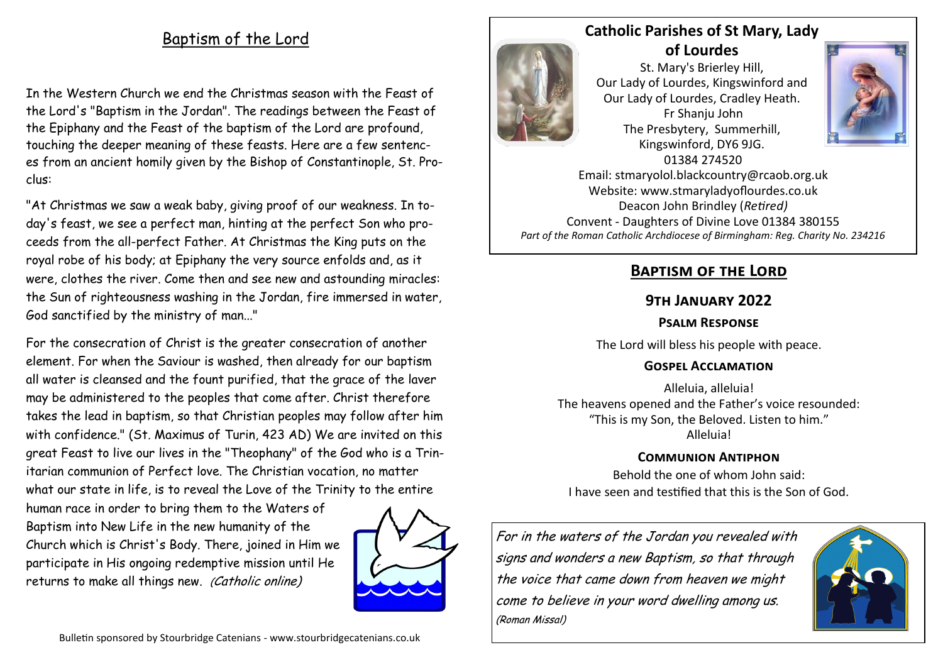# Baptism of the Lord

In the Western Church we end the Christmas season with the Feast of the Lord's "Baptism in the Jordan". The readings between the Feast of the Epiphany and the Feast of the baptism of the Lord are profound, touching the deeper meaning of these feasts. Here are a few sentences from an ancient homily given by the Bishop of Constantinople, St. Proclus:

"At Christmas we saw a weak baby, giving proof of our weakness. In today's feast, we see a perfect man, hinting at the perfect Son who proceeds from the all-perfect Father. At Christmas the King puts on the royal robe of his body; at Epiphany the very source enfolds and, as it were, clothes the river. Come then and see new and astounding miracles: the Sun of righteousness washing in the Jordan, fire immersed in water, God sanctified by the ministry of man..."

For the consecration of Christ is the greater consecration of another element. For when the Saviour is washed, then already for our baptism all water is cleansed and the fount purified, that the grace of the laver may be administered to the peoples that come after. Christ therefore takes the lead in baptism, so that Christian peoples may follow after him with confidence." (St. Maximus of Turin, 423 AD) We are invited on this great Feast to live our lives in the "Theophany" of the God who is a Trinitarian communion of Perfect love. The Christian vocation, no matter what our state in life, is to reveal the Love of the Trinity to the entire

human race in order to bring them to the Waters of Baptism into New Life in the new humanity of the Church which is Christ's Body. There, joined in Him we participate in His ongoing redemptive mission until He returns to make all things new. (Catholic online)





**of Lourdes**  St. Mary's Brierley Hill, Our Lady of Lourdes, Kingswinford and Our Lady of Lourdes, Cradley Heath. Fr Shanju John The Presbytery, Summerhill, Kingswinford, DY6 9JG. 01384 274520



Email: stmaryolol.blackcountry@rcaob.org.uk Website: www.stmaryladyoflourdes.co.uk Deacon John Brindley (*Retired)* Convent - Daughters of Divine Love 01384 380155 *Part of the Roman Catholic Archdiocese of Birmingham: Reg. Charity No. 234216*

# **Baptism of the Lord**

#### **9th January 2022**

## **Psalm Response**

The Lord will bless his people with peace.

#### **Gospel Acclamation**

Alleluia, alleluia! The heavens opened and the Father's voice resounded: "This is my Son, the Beloved. Listen to him." Alleluia!

## **Communion Antiphon**

Behold the one of whom John said: I have seen and testified that this is the Son of God.

For in the waters of the Jordan you revealed with signs and wonders a new Baptism, so that through the voice that came down from heaven we might come to believe in your word dwelling among us. (Roman Missal)